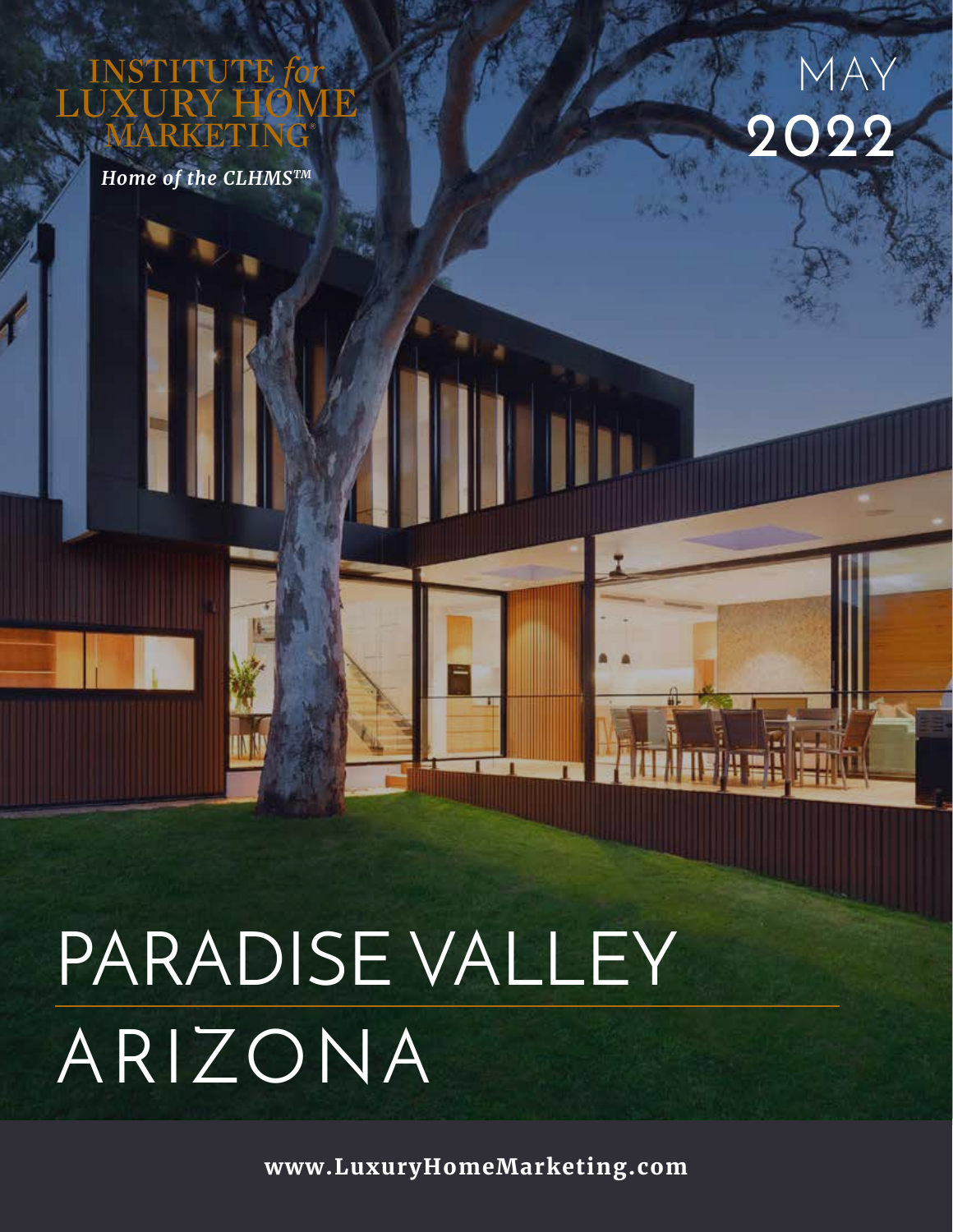UTE

*Home of the CLHMSTM*



# PARADISE VALLEY ARIZONA

**www.LuxuryHomeMarketing.com**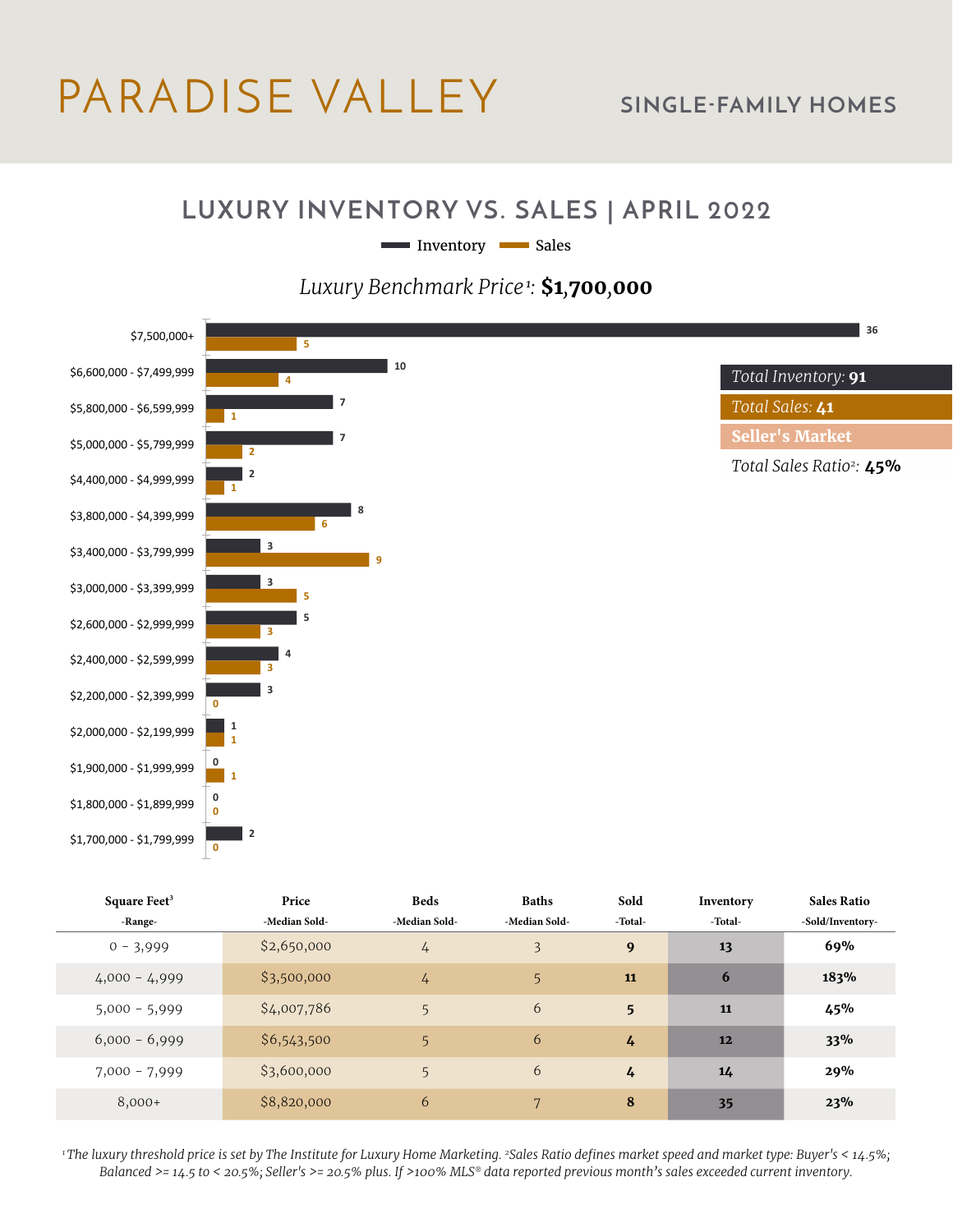# PARADISE VALLEY **SINGLE-FAMILY HOMES**

#### **LUXURY INVENTORY VS. SALES | APRIL 2022**

Inventory Sales

#### *Luxury Benchmark Price<sup>1</sup>:* **\$1***,***700***,***000**



| Square Feet <sup>3</sup> | Price         | <b>Beds</b>    | <b>Baths</b>   | Sold           | Inventory | <b>Sales Ratio</b> |
|--------------------------|---------------|----------------|----------------|----------------|-----------|--------------------|
| -Range-                  | -Median Sold- | -Median Sold-  | -Median Sold-  | -Total-        | -Total-   | -Sold/Inventory-   |
| $0 - 3,999$              | \$2,650,000   | $\frac{1}{4}$  | 3              | 9              | 13        | 69%                |
| $4,000 - 4,999$          | \$3,500,000   | $\frac{1}{4}$  | 5 <sup>1</sup> | 11             | 6         | 183%               |
| $5,000 - 5,999$          | \$4,007,786   | 5              | 6              | 5 <sup>5</sup> | 11        | 45%                |
| $6,000 - 6,999$          | \$6,543,500   | 5              | 6              | 4              | 12        | 33%                |
| $7,000 - 7,999$          | \$3,600,000   | 5 <sub>5</sub> | 6              | 4              | 14        | 29%                |
| $8,000+$                 | \$8,820,000   | 6              | 7              | 8              | 35        | 23%                |

*1 The luxury threshold price is set by The Institute for Luxury Home Marketing. 2Sales Ratio defines market speed and market type: Buyer's < 14.5%; Balanced >= 14.5 to < 20.5%; Seller's >= 20.5% plus. If >100% MLS® data reported previous month's sales exceeded current inventory.*